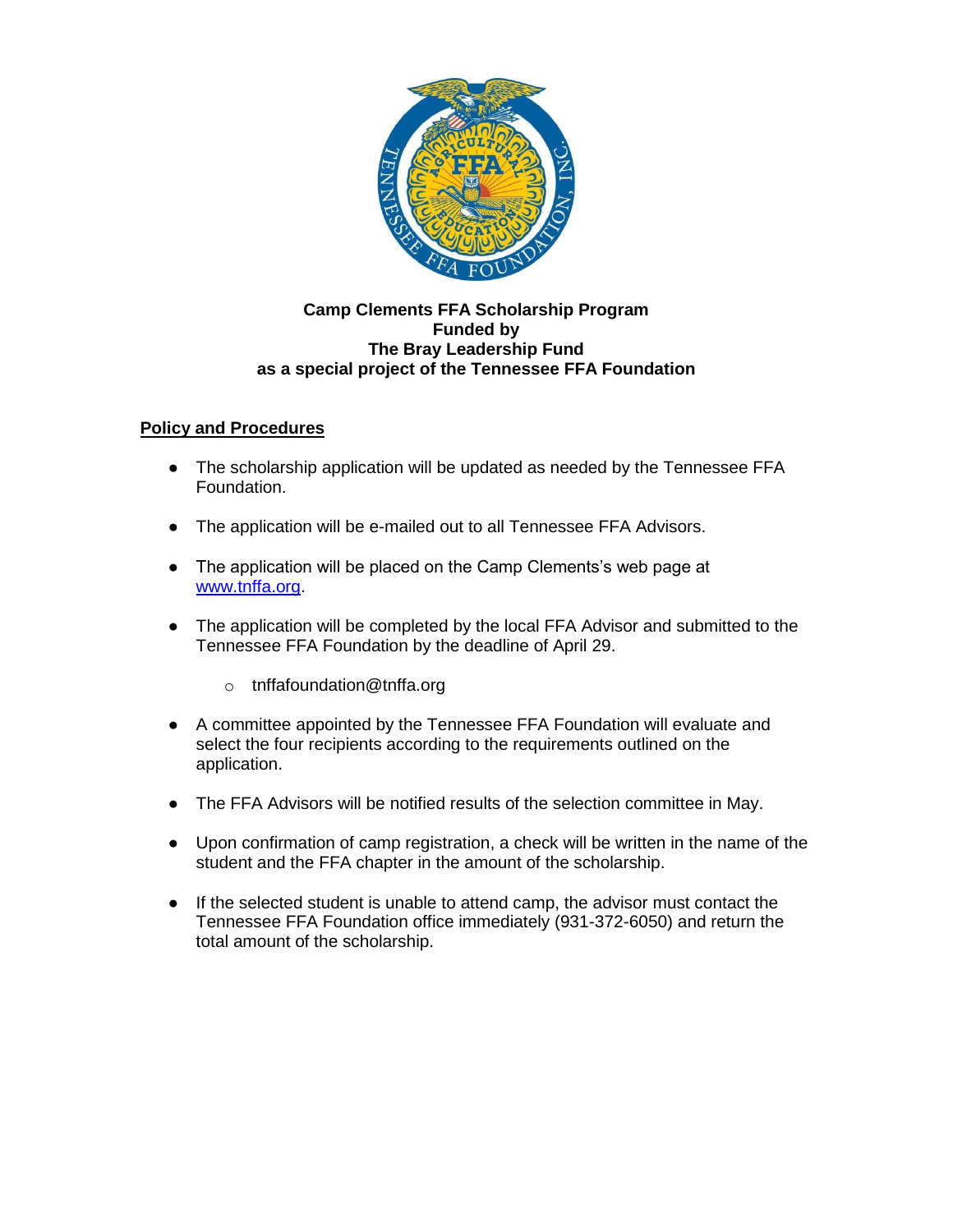

## **Camp Clements FFA Scholarship Program Funded by The Bray Leadership Fund as a special project of the Tennessee FFA Foundation**

## **Policy and Procedures**

- The scholarship application will be updated as needed by the Tennessee FFA Foundation.
- The application will be e-mailed out to all Tennessee FFA Advisors.
- The application will be placed on the Camp Clements's web page at [www.tnffa.org.](http://www.tnffa.org/)
- The application will be completed by the local FFA Advisor and submitted to the Tennessee FFA Foundation by the deadline of April 29.
	- o tnffafoundation@tnffa.org
- A committee appointed by the Tennessee FFA Foundation will evaluate and select the four recipients according to the requirements outlined on the application.
- The FFA Advisors will be notified results of the selection committee in May.
- Upon confirmation of camp registration, a check will be written in the name of the student and the FFA chapter in the amount of the scholarship.
- If the selected student is unable to attend camp, the advisor must contact the Tennessee FFA Foundation office immediately (931-372-6050) and return the total amount of the scholarship.